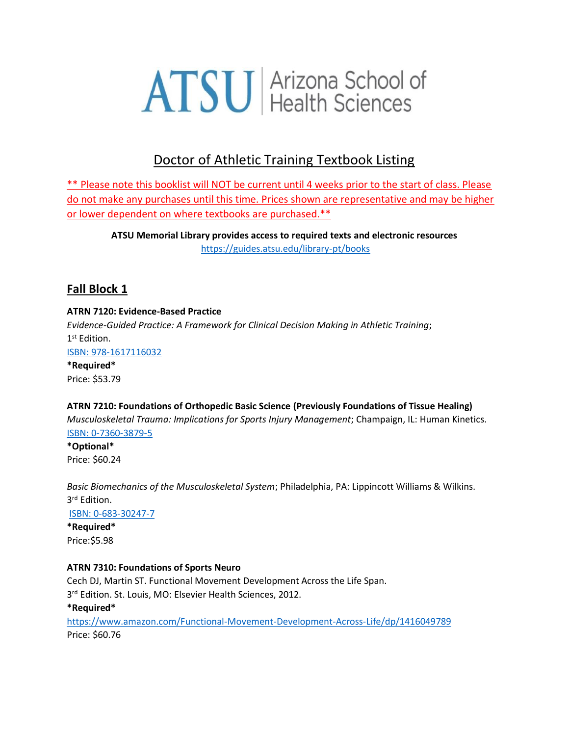# **ATSU** Arizona School of

# Doctor of Athletic Training Textbook Listing

\*\* Please note this booklist will NOT be current until 4 weeks prior to the start of class. Please do not make any purchases until this time. Prices shown are representative and may be higher or lower dependent on where textbooks are purchased.\*\*

**ATSU Memorial Library provides access to required texts and electronic resources** <https://guides.atsu.edu/library-pt/books>

# **Fall Block 1**

## **ATRN 7120: Evidence-Based Practice**

*Evidence-Guided Practice: A Framework for Clinical Decision Making in Athletic Training*; 1 st Edition. [ISBN: 978-1617116032](https://www.amazon.com/Evidence-Guided-Practice-Framework-Clinical-Decision/dp/1617116033)

**\*Required\*** Price: \$53.79

## **ATRN 7210: Foundations of Orthopedic Basic Science (Previously Foundations of Tissue Healing)**

*Musculoskeletal Trauma: Implications for Sports Injury Management*; Champaign, IL: Human Kinetics. [ISBN: 0-7360-3879-5](https://www.amazon.com/Musculoskeletal-Trauma-Implications-Sports-Management/dp/0736038795/ref=sr_1_1?s=books&ie=UTF8&qid=1506540834&sr=1-1&keywords=9780736038799)

**\*Optional\*** Price: \$60.24

*Basic Biomechanics of the Musculoskeletal System*; Philadelphia, PA: Lippincott Williams & Wilkins. 3 rd Edition.

[ISBN: 0-683-30247-7](https://www.amazon.com/gp/search?index=books&linkCode=qs&keywords=9780683302479)

**\*Required\*** Price:\$5.98

## **ATRN 7310: Foundations of Sports Neuro**

Cech DJ, Martin ST. Functional Movement Development Across the Life Span.

3<sup>rd</sup> Edition. St. Louis, MO: Elsevier Health Sciences, 2012.

**\*Required\***

<https://www.amazon.com/Functional-Movement-Development-Across-Life/dp/1416049789> Price: \$60.76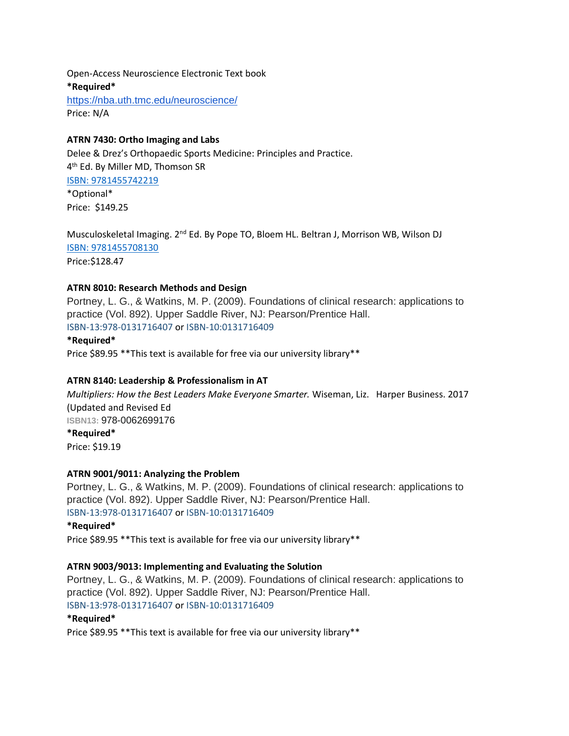Open-Access Neuroscience Electronic Text book **\*Required\*** <https://nba.uth.tmc.edu/neuroscience/> Price: N/A

#### **ATRN 7430: Ortho Imaging and Labs**

Delee & Drez's Orthopaedic Sports Medicine: Principles and Practice. 4 th Ed. By Miller MD, Thomson SR [ISBN: 9781455742219](https://www.amazon.com/s?k=9781455742219&ref=nb_sb_noss) \*Optional\* Price: \$149.25

Musculoskeletal Imaging. 2<sup>nd</sup> Ed. By Pope TO, Bloem HL. Beltran J, Morrison WB, Wilson DJ [ISBN: 9781455708130](https://www.amazon.com/s?k=9781455708130&ref=nb_sb_noss) Price:\$128.47

#### **ATRN 8010: Research Methods and Design**

Portney, L. G., & Watkins, M. P. (2009). Foundations of clinical research: applications to practice (Vol. 892). Upper Saddle River, NJ: Pearson/Prentice Hall. ISBN-13:978-0131716407 or ISBN-10:0131716409

#### **\*Required\***

Price \$89.95 \*\*This text is available for free via our university library\*\*

#### **ATRN 8140: Leadership & Professionalism in AT**

*Multipliers: How the Best Leaders Make Everyone Smarter.* Wiseman, Liz. Harper Business. 2017 (Updated and Revised Ed **ISBN13:** 978-0062699176 **\*Required\*** Price: \$19.19

#### **ATRN 9001/9011: Analyzing the Problem**

Portney, L. G., & Watkins, M. P. (2009). Foundations of clinical research: applications to practice (Vol. 892). Upper Saddle River, NJ: Pearson/Prentice Hall. ISBN-13:978-0131716407 or ISBN-10:0131716409

#### **\*Required\***

Price \$89.95 \*\*This text is available for free via our university library\*\*

#### **ATRN 9003/9013: Implementing and Evaluating the Solution**

Portney, L. G., & Watkins, M. P. (2009). Foundations of clinical research: applications to practice (Vol. 892). Upper Saddle River, NJ: Pearson/Prentice Hall. ISBN-13:978-0131716407 or ISBN-10:0131716409

#### **\*Required\***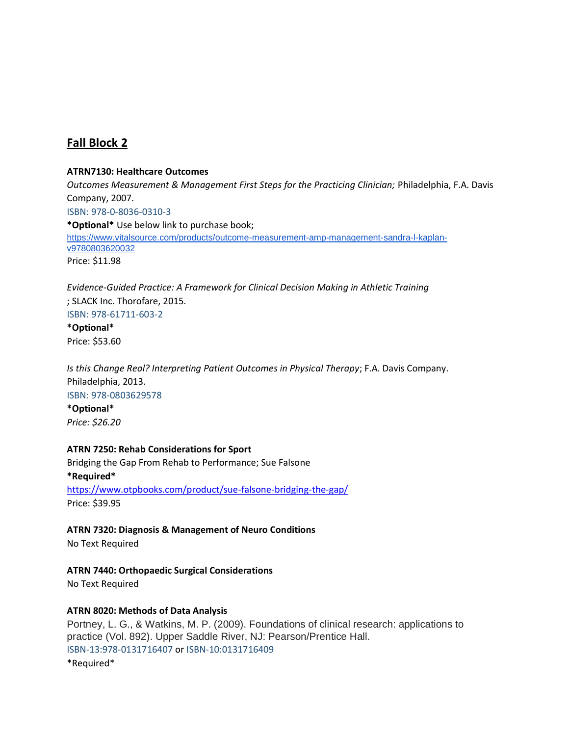## **Fall Block 2**

#### **ATRN7130: Healthcare Outcomes**

*Outcomes Measurement & Management First Steps for the Practicing Clinician;* Philadelphia, F.A. Davis Company, 2007. ISBN: 978-0-8036-0310-3 **\*Optional\*** Use below link to purchase book; [https://www.vitalsource.com/products/outcome-measurement-amp-management-sandra-l-kaplan](https://www.vitalsource.com/products/outcome-measurement-amp-management-sandra-l-kaplan-v9780803620032)[v9780803620032](https://www.vitalsource.com/products/outcome-measurement-amp-management-sandra-l-kaplan-v9780803620032) Price: \$11.98

*Evidence-Guided Practice: A Framework for Clinical Decision Making in Athletic Training* ; SLACK Inc. Thorofare, 2015. ISBN: 978-61711-603-2

**\*Optional\*** Price: \$53.60

*Is this Change Real? Interpreting Patient Outcomes in Physical Therapy*; F.A. Davis Company. Philadelphia, 2013. ISBN: 978-0803629578 **\*Optional\*** *Price: \$26.20*

#### **ATRN 7250: Rehab Considerations for Sport**

Bridging the Gap From Rehab to Performance; Sue Falsone **\*Required\*** <https://www.otpbooks.com/product/sue-falsone-bridging-the-gap/>

Price: \$39.95

#### **ATRN 7320: Diagnosis & Management of Neuro Conditions**

No Text Required

#### **ATRN 7440: Orthopaedic Surgical Considerations**

No Text Required

#### **ATRN 8020: Methods of Data Analysis**

Portney, L. G., & Watkins, M. P. (2009). Foundations of clinical research: applications to practice (Vol. 892). Upper Saddle River, NJ: Pearson/Prentice Hall. ISBN-13:978-0131716407 or ISBN-10:0131716409 \*Required\*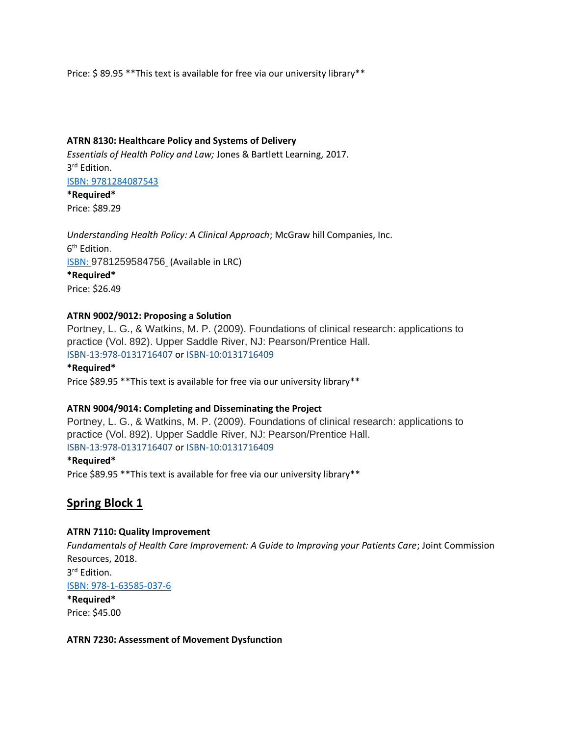Price: \$89.95 \*\* This text is available for free via our university library\*\*

#### **ATRN 8130: Healthcare Policy and Systems of Delivery**

*Essentials of Health Policy and Law;* Jones & Bartlett Learning, 2017. 3 rd Edition.

#### [ISBN: 9781284087543](https://www.amazon.com/Essentials-Health-Policy-Essential-Public/dp/1284087549)

**\*Required\*** Price: \$89.29

*Understanding Health Policy: A Clinical Approach*; McGraw hill Companies, Inc. 6<sup>th</sup> Edition. ISBN: [9781259584756](https://www.amazon.com/Understanding-Health-Policy-Clinical-Approach/dp/1259584755) (Available in LRC) **\*Required\*** Price: \$26.49

#### **ATRN 9002/9012: Proposing a Solution**

Portney, L. G., & Watkins, M. P. (2009). Foundations of clinical research: applications to practice (Vol. 892). Upper Saddle River, NJ: Pearson/Prentice Hall. ISBN-13:978-0131716407 or ISBN-10:0131716409

#### **\*Required\***

Price \$89.95 \*\*This text is available for free via our university library\*\*

#### **ATRN 9004/9014: Completing and Disseminating the Project**

Portney, L. G., & Watkins, M. P. (2009). Foundations of clinical research: applications to practice (Vol. 892). Upper Saddle River, NJ: Pearson/Prentice Hall. ISBN-13:978-0131716407 or ISBN-10:0131716409

#### **\*Required\***

Price \$89.95 \*\*This text is available for free via our university library\*\*

## **Spring Block 1**

#### **ATRN 7110: Quality Improvement**

*Fundamentals of Health Care Improvement: A Guide to Improving your Patients Care*; Joint Commission Resources, 2018. 3 rd Edition. [ISBN: 978-1-63585-037-6](https://www.amazon.com/s/ref=nb_sb_noss?url=search-alias%3Daps&field-keywords=ISBN+978-1-63585-037-6) **\*Required\*** Price: \$45.00

#### **ATRN 7230: Assessment of Movement Dysfunction**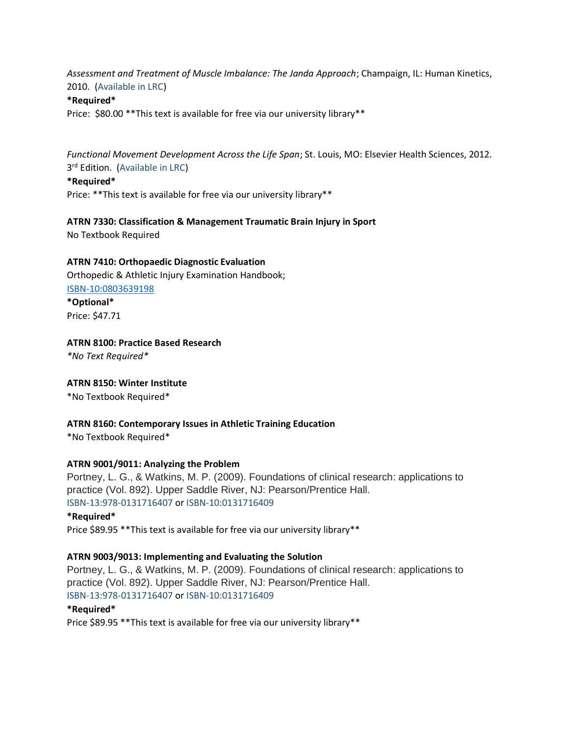*Assessment and Treatment of Muscle Imbalance: The Janda Approach*; Champaign, IL: Human Kinetics, 2010. (Available in LRC)

#### **\*Required\***

Price: \$80.00 \*\* This text is available for free via our university library \*\*

*Functional Movement Development Across the Life Span*; St. Louis, MO: Elsevier Health Sciences, 2012. 3<sup>rd</sup> Edition. (Available in LRC)

#### **\*Required\***

Price: \*\*This text is available for free via our university library\*\*

**ATRN 7330: Classification & Management Traumatic Brain Injury in Sport**

No Textbook Required

#### **ATRN 7410: Orthopaedic Diagnostic Evaluation**

Orthopedic & Athletic Injury Examination Handbook;

[ISBN-10:0803639198](https://www.amazon.com/Orthopedic-Athletic-Injury-Examination-Handbook/dp/0803639198/ref=sr_1_1?dchild=1&keywords=ISBN-10%3A0803639198&qid=1590677161&sr=8-1) **\*Optional\***

Price: \$47.71

## **ATRN 8100: Practice Based Research**

*\*No Text Required\**

#### **ATRN 8150: Winter Institute**

\*No Textbook Required\*

#### **ATRN 8160: Contemporary Issues in Athletic Training Education**

\*No Textbook Required\*

#### **ATRN 9001/9011: Analyzing the Problem**

Portney, L. G., & Watkins, M. P. (2009). Foundations of clinical research: applications to practice (Vol. 892). Upper Saddle River, NJ: Pearson/Prentice Hall. ISBN-13:978-0131716407 or ISBN-10:0131716409

#### **\*Required\***

Price \$89.95 \*\*This text is available for free via our university library\*\*

#### **ATRN 9003/9013: Implementing and Evaluating the Solution**

Portney, L. G., & Watkins, M. P. (2009). Foundations of clinical research: applications to practice (Vol. 892). Upper Saddle River, NJ: Pearson/Prentice Hall. ISBN-13:978-0131716407 or ISBN-10:0131716409

#### **\*Required\***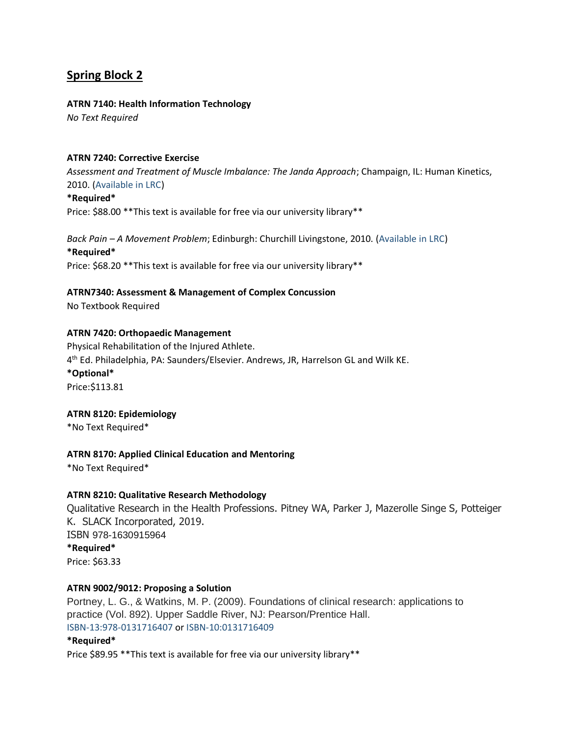# **Spring Block 2**

## **ATRN 7140: Health Information Technology**

*No Text Required*

## **ATRN 7240: Corrective Exercise**

*Assessment and Treatment of Muscle Imbalance: The Janda Approach*; Champaign, IL: Human Kinetics, 2010. (Available in LRC)

#### **\*Required\***

Price: \$88.00 \*\*This text is available for free via our university library\*\*

*Back Pain – A Movement Problem*; Edinburgh: Churchill Livingstone, 2010. (Available in LRC) **\*Required\*** Price: \$68.20 \*\* This text is available for free via our university library\*\*

## **ATRN7340: Assessment & Management of Complex Concussion**

No Textbook Required

## **ATRN 7420: Orthopaedic Management**

Physical Rehabilitation of the Injured Athlete. 4 th Ed. Philadelphia, PA: Saunders/Elsevier. Andrews, JR, Harrelson GL and Wilk KE. **\*Optional\*** Price:\$113.81

#### **ATRN 8120: Epidemiology**

\*No Text Required\*

## **ATRN 8170: Applied Clinical Education and Mentoring**

\*No Text Required\*

## **ATRN 8210: Qualitative Research Methodology**

Qualitative Research in the Health Professions. Pitney WA, Parker J, Mazerolle Singe S, Potteiger K. SLACK Incorporated, 2019. ISBN 978-1630915964 **\*Required\*** Price: \$63.33

#### **ATRN 9002/9012: Proposing a Solution**

Portney, L. G., & Watkins, M. P. (2009). Foundations of clinical research: applications to practice (Vol. 892). Upper Saddle River, NJ: Pearson/Prentice Hall. ISBN-13:978-0131716407 or ISBN-10:0131716409

## **\*Required\***